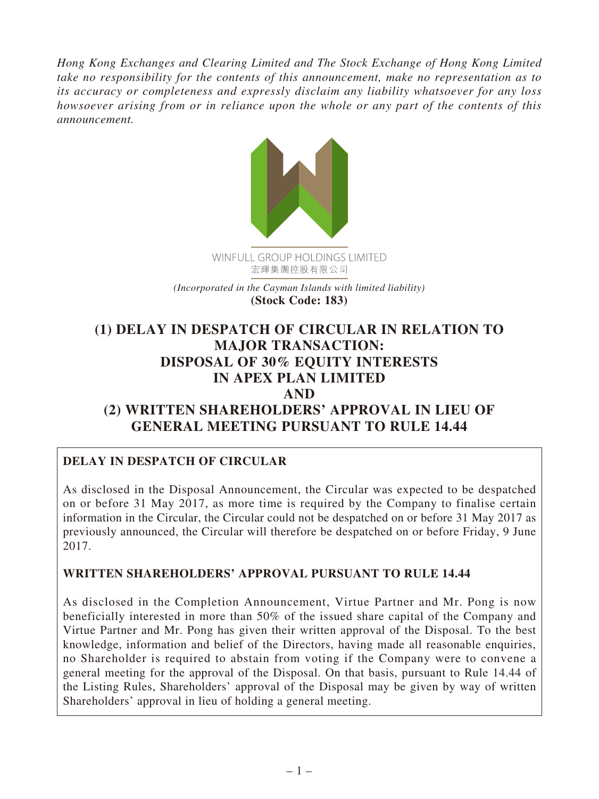*Hong Kong Exchanges and Clearing Limited and The Stock Exchange of Hong Kong Limited take no responsibility for the contents of this announcement, make no representation as to its accuracy or completeness and expressly disclaim any liability whatsoever for any loss howsoever arising from or in reliance upon the whole or any part of the contents of this announcement.*



*(Incorporated in the Cayman Islands with limited liability)* **(Stock Code: 183)**

# **(1) DELAY IN DESPATCH OF CIRCULAR IN RELATION TO MAJOR TRANSACTION: DISPOSAL OF 30% EQUITY INTERESTS IN APEX PLAN LIMITED AND (2) WRITTEN SHAREHOLDERS' APPROVAL IN LIEU OF GENERAL MEETING PURSUANT TO RULE 14.44**

# **DELAY IN DESPATCH OF CIRCULAR**

As disclosed in the Disposal Announcement, the Circular was expected to be despatched on or before 31 May 2017, as more time is required by the Company to finalise certain information in the Circular, the Circular could not be despatched on or before 31 May 2017 as previously announced, the Circular will therefore be despatched on or before Friday, 9 June 2017.

#### **WRITTEN SHAREHOLDERS' APPROVAL PURSUANT TO RULE 14.44**

As disclosed in the Completion Announcement, Virtue Partner and Mr. Pong is now beneficially interested in more than 50% of the issued share capital of the Company and Virtue Partner and Mr. Pong has given their written approval of the Disposal. To the best knowledge, information and belief of the Directors, having made all reasonable enquiries, no Shareholder is required to abstain from voting if the Company were to convene a general meeting for the approval of the Disposal. On that basis, pursuant to Rule 14.44 of the Listing Rules, Shareholders' approval of the Disposal may be given by way of written Shareholders' approval in lieu of holding a general meeting.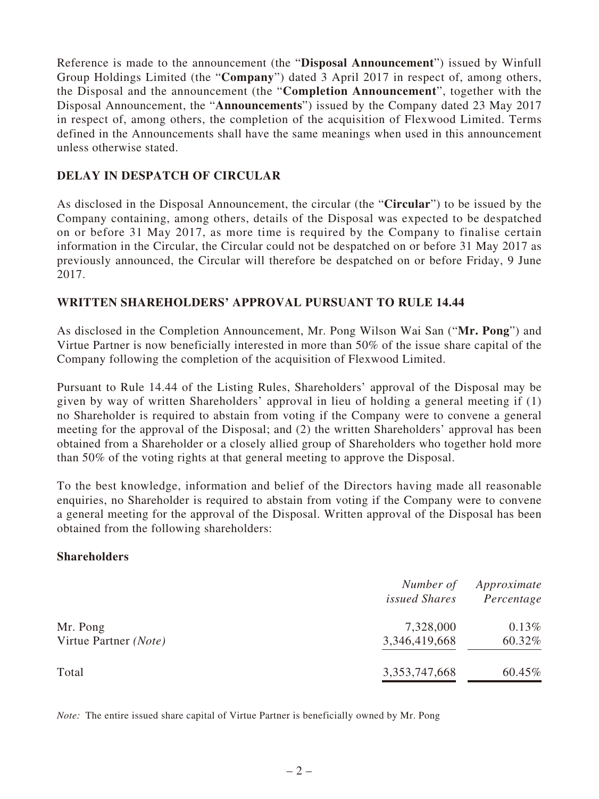Reference is made to the announcement (the "**Disposal Announcement**") issued by Winfull Group Holdings Limited (the "**Company**") dated 3 April 2017 in respect of, among others, the Disposal and the announcement (the "**Completion Announcement**", together with the Disposal Announcement, the "**Announcements**") issued by the Company dated 23 May 2017 in respect of, among others, the completion of the acquisition of Flexwood Limited. Terms defined in the Announcements shall have the same meanings when used in this announcement unless otherwise stated.

### **DELAY IN DESPATCH OF CIRCULAR**

As disclosed in the Disposal Announcement, the circular (the "**Circular**") to be issued by the Company containing, among others, details of the Disposal was expected to be despatched on or before 31 May 2017, as more time is required by the Company to finalise certain information in the Circular, the Circular could not be despatched on or before 31 May 2017 as previously announced, the Circular will therefore be despatched on or before Friday, 9 June 2017.

### **WRITTEN SHAREHOLDERS' APPROVAL PURSUANT TO RULE 14.44**

As disclosed in the Completion Announcement, Mr. Pong Wilson Wai San ("**Mr. Pong**") and Virtue Partner is now beneficially interested in more than 50% of the issue share capital of the Company following the completion of the acquisition of Flexwood Limited.

Pursuant to Rule 14.44 of the Listing Rules, Shareholders' approval of the Disposal may be given by way of written Shareholders' approval in lieu of holding a general meeting if (1) no Shareholder is required to abstain from voting if the Company were to convene a general meeting for the approval of the Disposal; and (2) the written Shareholders' approval has been obtained from a Shareholder or a closely allied group of Shareholders who together hold more than 50% of the voting rights at that general meeting to approve the Disposal.

To the best knowledge, information and belief of the Directors having made all reasonable enquiries, no Shareholder is required to abstain from voting if the Company were to convene a general meeting for the approval of the Disposal. Written approval of the Disposal has been obtained from the following shareholders:

#### **Shareholders**

|                       | Number of<br><i>issued Shares</i> | Approximate<br>Percentage |
|-----------------------|-----------------------------------|---------------------------|
| Mr. Pong              | 7,328,000                         | 0.13%                     |
| Virtue Partner (Note) | 3,346,419,668                     | 60.32%                    |
| Total                 | 3, 353, 747, 668                  | 60.45%                    |

*Note:* The entire issued share capital of Virtue Partner is beneficially owned by Mr. Pong